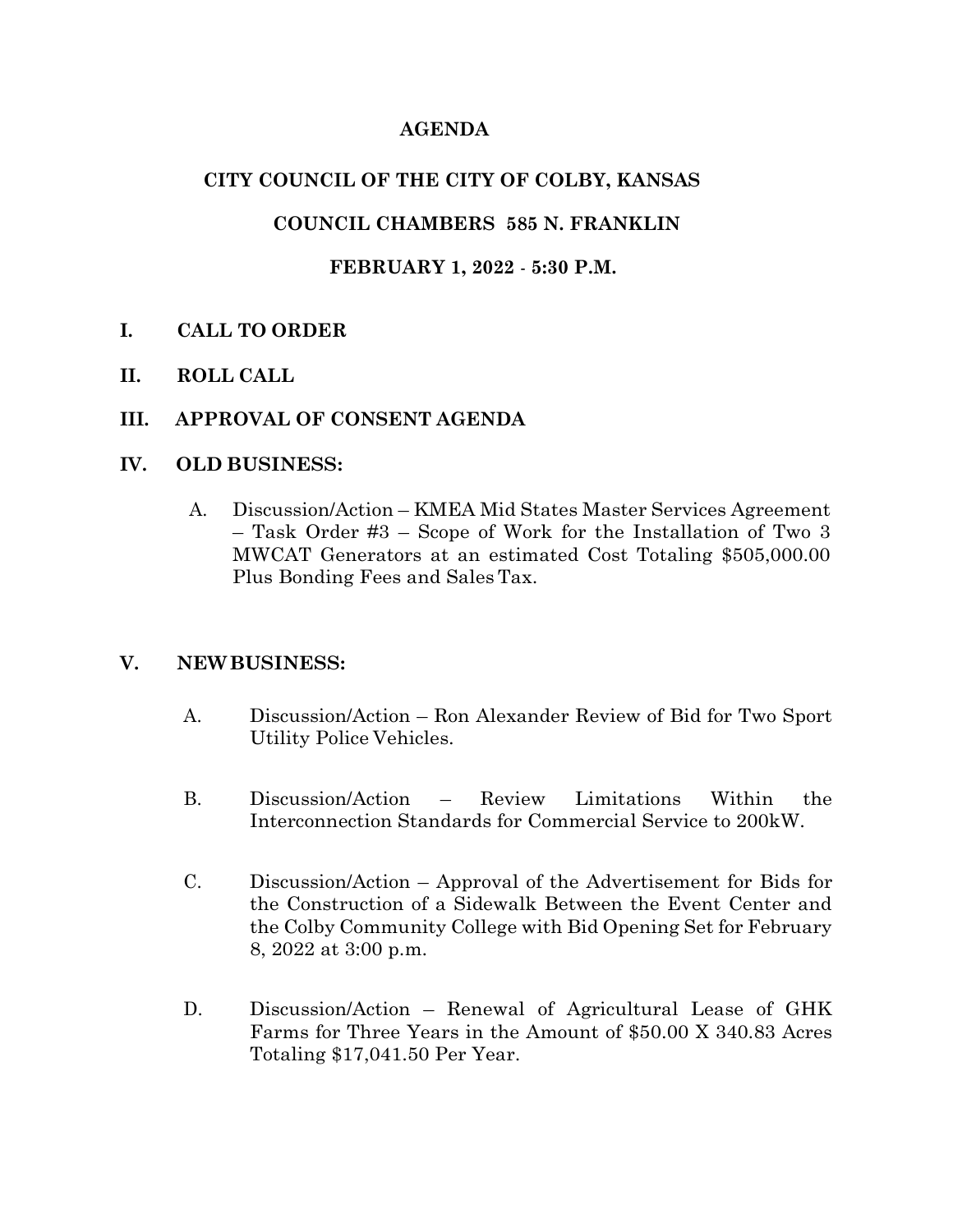## **AGENDA**

## **CITY COUNCIL OF THE CITY OF COLBY, KANSAS**

### **COUNCIL CHAMBERS 585 N. FRANKLIN**

### **FEBRUARY 1, 2022** - **5:30 P.M.**

## **I. CALL TO ORDER**

**II. ROLL CALL**

#### **III. APPROVAL OF CONSENT AGENDA**

#### **IV. OLD BUSINESS:**

A. Discussion/Action – KMEA Mid States Master Services Agreement – Task Order #3 – Scope of Work for the Installation of Two 3 MWCAT Generators at an estimated Cost Totaling \$505,000.00 Plus Bonding Fees and Sales Tax.

#### **V. NEWBUSINESS:**

- A. Discussion/Action Ron Alexander Review of Bid for Two Sport Utility Police Vehicles.
- B. Discussion/Action Review Limitations Within the Interconnection Standards for Commercial Service to 200kW.
- C. Discussion/Action Approval of the Advertisement for Bids for the Construction of a Sidewalk Between the Event Center and the Colby Community College with Bid Opening Set for February 8, 2022 at 3:00 p.m.
- D. Discussion/Action Renewal of Agricultural Lease of GHK Farms for Three Years in the Amount of \$50.00 X 340.83 Acres Totaling \$17,041.50 Per Year.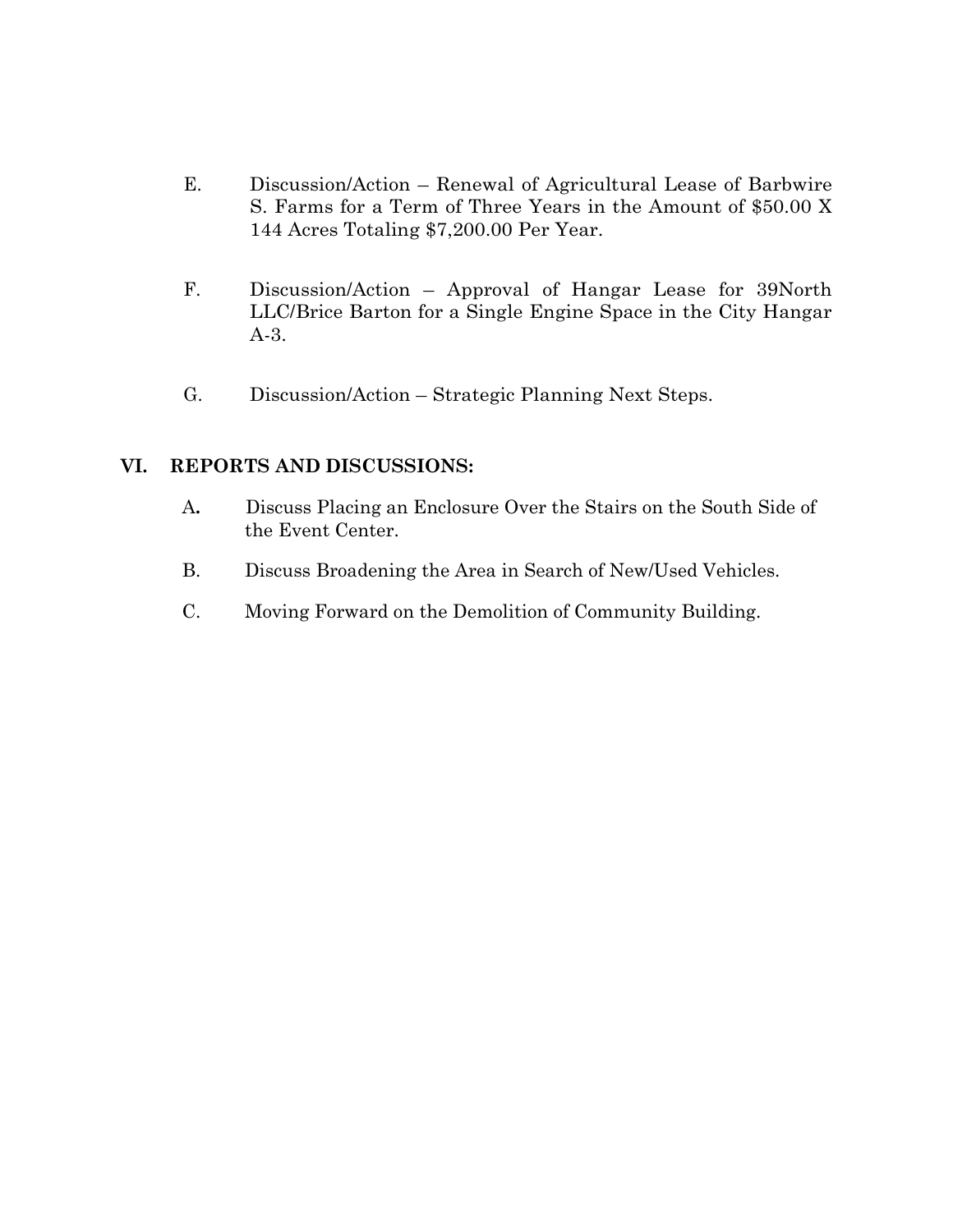- E. Discussion/Action Renewal of Agricultural Lease of Barbwire S. Farms for a Term of Three Years in the Amount of \$50.00 X 144 Acres Totaling \$7,200.00 Per Year.
- F. Discussion/Action Approval of Hangar Lease for 39North LLC/Brice Barton for a Single Engine Space in the City Hangar A-3.
- G. Discussion/Action Strategic Planning Next Steps.

#### **VI. REPORTS AND DISCUSSIONS:**

- A**.** Discuss Placing an Enclosure Over the Stairs on the South Side of the Event Center.
- B. Discuss Broadening the Area in Search of New/Used Vehicles.
- C. Moving Forward on the Demolition of Community Building.